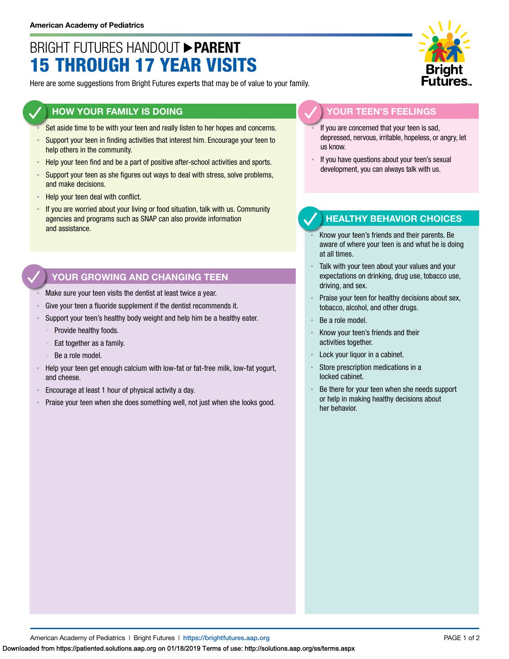# BRIGHT FUTURES HANDOUT **PARENT** 15 THROUGH 17 YEAR VISITS

Here are some suggestions from Bright Futures experts that may be of value to your family.

### **HOW YOUR FAMILY IS DOING**

- Set aside time to be with your teen and really listen to her hopes and concerns.
- **EXECT** Support your teen in finding activities that interest him. Encourage your teen to help others in the community.
- Help your teen find and be a part of positive after-school activities and sports.
- **EXECT** Support your teen as she figures out ways to deal with stress, solve problems, and make decisions.
- Help your teen deal with conflict.
- If you are worried about your living or food situation, talk with us. Community agencies and programs such as SNAP can also provide information and assistance.

# **YOUR GROWING AND CHANGING TEEN**

- Make sure your teen visits the dentist at least twice a year.
- Give your teen a fluoride supplement if the dentist recommends it.
- Support your teen's healthy body weight and help him be a healthy eater.
	- Provide healthy foods.
	- Eat together as a family.
	- Be a role model.
- Help your teen get enough calcium with low-fat or fat-free milk, low-fat yogurt, and cheese.
- Encourage at least 1 hour of physical activity a day.
- Praise your teen when she does something well, not just when she looks good.



#### **YOUR TEEN'S FEELINGS**

- If you are concerned that your teen is sad, depressed, nervous, irritable, hopeless, or angry, let us know.
- If you have questions about your teen's sexual development, you can always talk with us.

## **HEALTHY BEHAVIOR CHOICES**

- Know your teen's friends and their parents. Be aware of where your teen is and what he is doing at all times.
- Talk with your teen about your values and your expectations on drinking, drug use, tobacco use, driving, and sex.
- Praise your teen for healthy decisions about sex, tobacco, alcohol, and other drugs.
- Be a role model.
- Know your teen's friends and their activities together.
- Lock your liquor in a cabinet.
- Store prescription medications in a locked cabinet.
- Be there for your teen when she needs support or help in making healthy decisions about her behavior.

American Academy of Pediatrics | Bright Futures | https://[brightfutures.aap.org](https://brightfutures.aap.org/Pages/default.aspx) PAGE 1 of 2

Downloaded from https://patiented.solutions.aap.org on 01/18/2019 Terms of use: http://solutions.aap.org/ss/terms.aspx